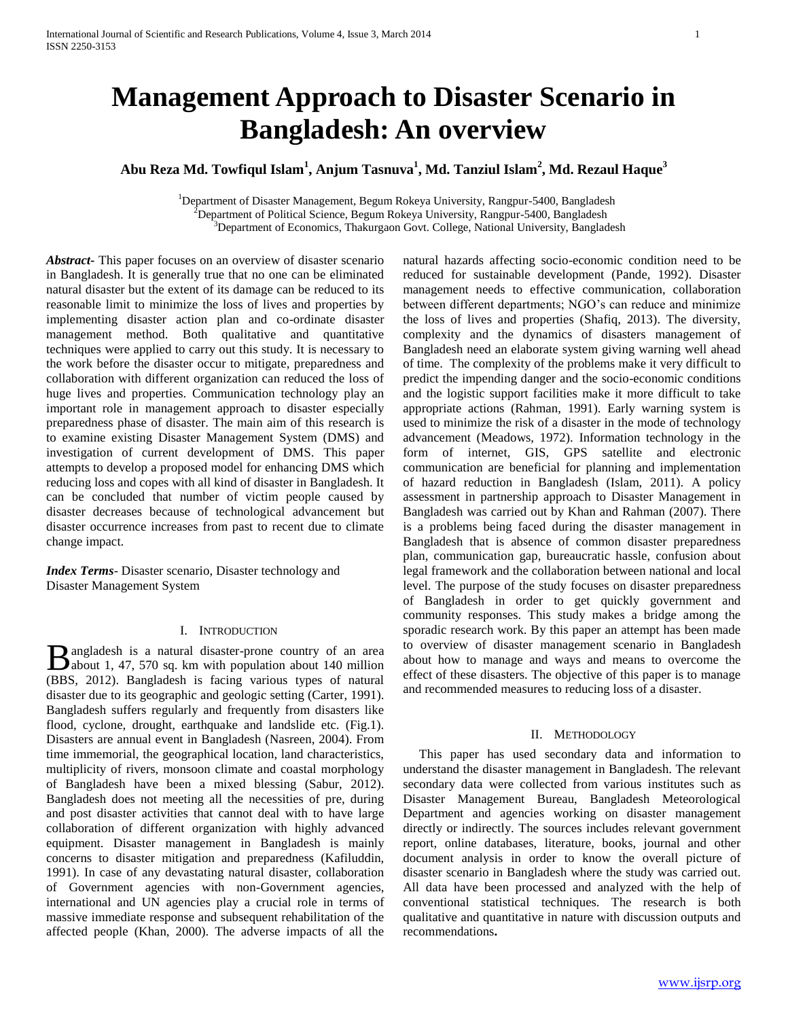# **Management Approach to Disaster Scenario in Bangladesh: An overview**

# **Abu Reza Md. Towfiqul Islam<sup>1</sup> , Anjum Tasnuva<sup>1</sup> , Md. Tanziul Islam<sup>2</sup> , Md. Rezaul Haque<sup>3</sup>**

<sup>1</sup>Department of Disaster Management, Begum Rokeya University, Rangpur-5400, Bangladesh  $^{2}$ Department of Political Science, Begum Rokeya University, Rangpur-5400, Bangladesh <sup>3</sup>Department of Economics, Thakurgaon Govt. College, National University, Bangladesh

*Abstract***-** This paper focuses on an overview of disaster scenario in Bangladesh. It is generally true that no one can be eliminated natural disaster but the extent of its damage can be reduced to its reasonable limit to minimize the loss of lives and properties by implementing disaster action plan and co-ordinate disaster management method. Both qualitative and quantitative techniques were applied to carry out this study. It is necessary to the work before the disaster occur to mitigate, preparedness and collaboration with different organization can reduced the loss of huge lives and properties. Communication technology play an important role in management approach to disaster especially preparedness phase of disaster. The main aim of this research is to examine existing Disaster Management System (DMS) and investigation of current development of DMS. This paper attempts to develop a proposed model for enhancing DMS which reducing loss and copes with all kind of disaster in Bangladesh. It can be concluded that number of victim people caused by disaster decreases because of technological advancement but disaster occurrence increases from past to recent due to climate change impact*.*

*Index Terms*- Disaster scenario, Disaster technology and Disaster Management System

# I. INTRODUCTION

angladesh is a natural disaster-prone country of an area **B** angladesh is a natural disaster-prone country of an area about 1, 47, 570 sq. km with population about 140 million (BBS, 2012). Bangladesh is facing various types of natural disaster due to its geographic and geologic setting (Carter, 1991). Bangladesh suffers regularly and frequently from disasters like flood, cyclone, drought, earthquake and landslide etc. (Fig.1). Disasters are annual event in Bangladesh (Nasreen, 2004). From time immemorial, the geographical location, land characteristics, multiplicity of rivers, monsoon climate and coastal morphology of Bangladesh have been a mixed blessing (Sabur, 2012). Bangladesh does not meeting all the necessities of pre, during and post disaster activities that cannot deal with to have large collaboration of different organization with highly advanced equipment. Disaster management in Bangladesh is mainly concerns to disaster mitigation and preparedness (Kafiluddin, 1991). In case of any devastating natural disaster, collaboration of Government agencies with non-Government agencies, international and UN agencies play a crucial role in terms of massive immediate response and subsequent rehabilitation of the affected people (Khan, 2000). The adverse impacts of all the

natural hazards affecting socio-economic condition need to be reduced for sustainable development (Pande, 1992). Disaster management needs to effective communication, collaboration between different departments; NGO's can reduce and minimize the loss of lives and properties (Shafiq, 2013). The diversity, complexity and the dynamics of disasters management of Bangladesh need an elaborate system giving warning well ahead of time. The complexity of the problems make it very difficult to predict the impending danger and the socio-economic conditions and the logistic support facilities make it more difficult to take appropriate actions (Rahman, 1991). Early warning system is used to minimize the risk of a disaster in the mode of technology advancement (Meadows, 1972). Information technology in the form of internet, GIS, GPS satellite and electronic communication are beneficial for planning and implementation of hazard reduction in Bangladesh (Islam, 2011). A policy assessment in partnership approach to Disaster Management in Bangladesh was carried out by Khan and Rahman (2007). There is a problems being faced during the disaster management in Bangladesh that is absence of common disaster preparedness plan, communication gap, bureaucratic hassle, confusion about legal framework and the collaboration between national and local level. The purpose of the study focuses on disaster preparedness of Bangladesh in order to get quickly government and community responses. This study makes a bridge among the sporadic research work. By this paper an attempt has been made to overview of disaster management scenario in Bangladesh about how to manage and ways and means to overcome the effect of these disasters. The objective of this paper is to manage and recommended measures to reducing loss of a disaster.

### II. METHODOLOGY

 This paper has used secondary data and information to understand the disaster management in Bangladesh. The relevant secondary data were collected from various institutes such as Disaster Management Bureau, Bangladesh Meteorological Department and agencies working on disaster management directly or indirectly. The sources includes relevant government report, online databases, literature, books, journal and other document analysis in order to know the overall picture of disaster scenario in Bangladesh where the study was carried out. All data have been processed and analyzed with the help of conventional statistical techniques. The research is both qualitative and quantitative in nature with discussion outputs and recommendations**.**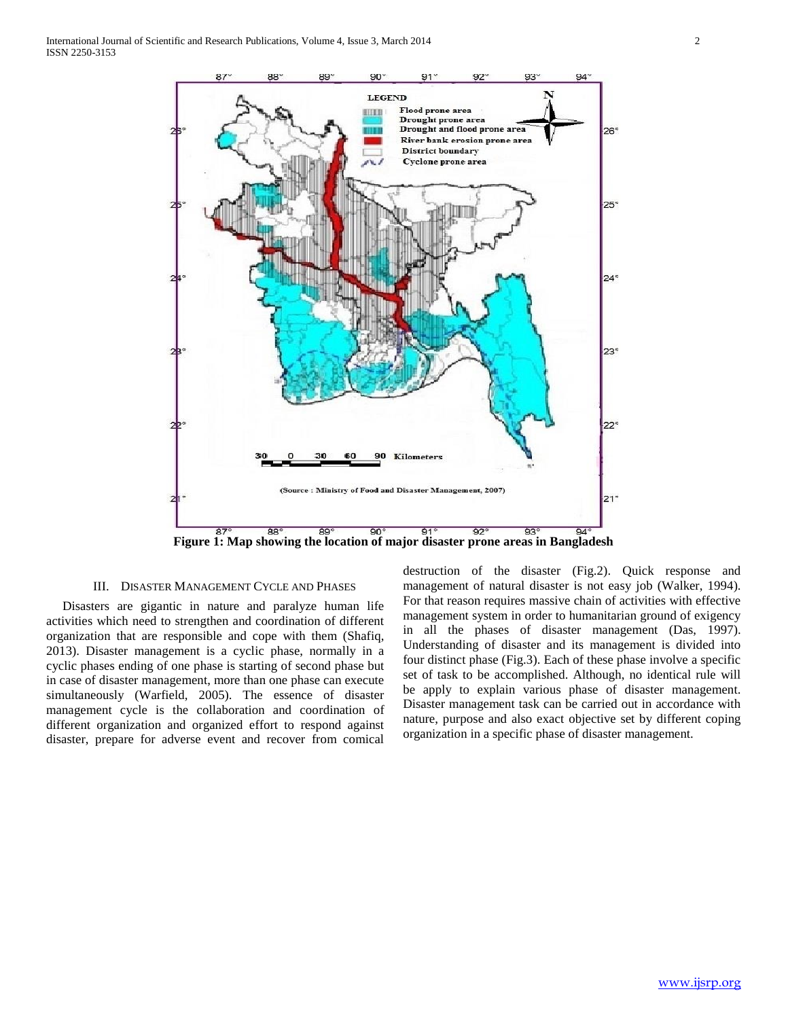

# III. DISASTER MANAGEMENT CYCLE AND PHASES

 Disasters are gigantic in nature and paralyze human life activities which need to strengthen and coordination of different organization that are responsible and cope with them (Shafiq, 2013). Disaster management is a cyclic phase, normally in a cyclic phases ending of one phase is starting of second phase but in case of disaster management, more than one phase can execute simultaneously (Warfield, 2005). The essence of disaster management cycle is the collaboration and coordination of different organization and organized effort to respond against disaster, prepare for adverse event and recover from comical

destruction of the disaster (Fig.2). Quick response and management of natural disaster is not easy job (Walker, 1994). For that reason requires massive chain of activities with effective management system in order to humanitarian ground of exigency in all the phases of disaster management (Das, 1997). Understanding of disaster and its management is divided into four distinct phase (Fig.3). Each of these phase involve a specific set of task to be accomplished. Although, no identical rule will be apply to explain various phase of disaster management. Disaster management task can be carried out in accordance with nature, purpose and also exact objective set by different coping organization in a specific phase of disaster management.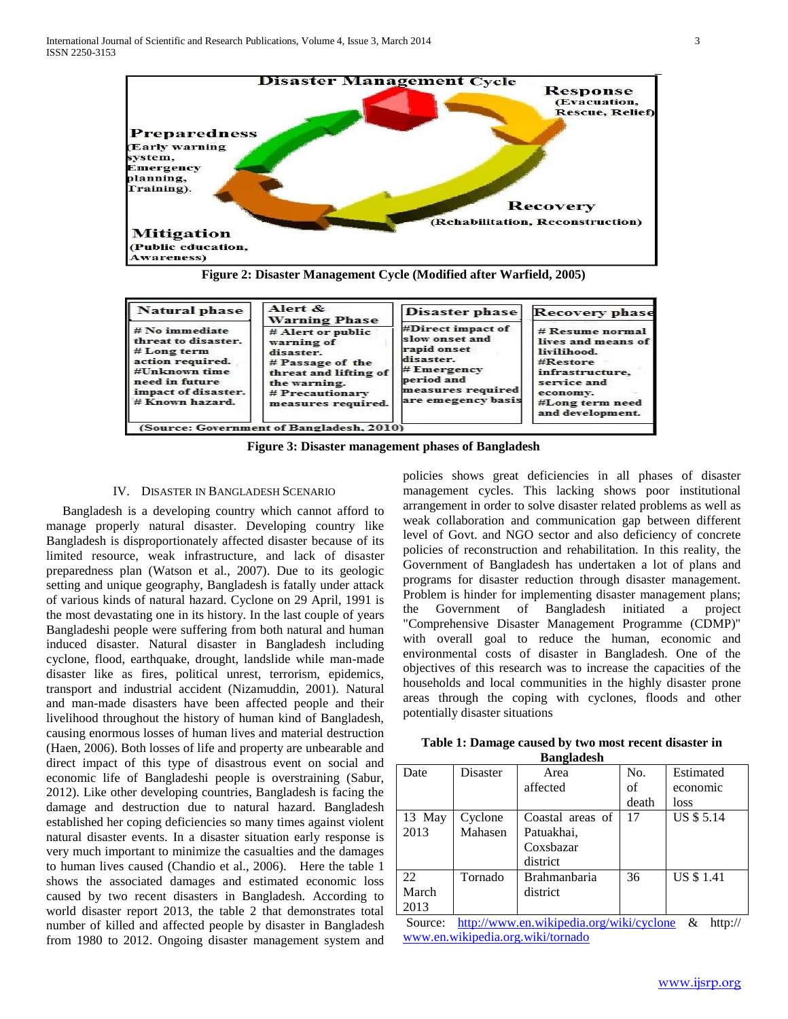

**Figure 2: Disaster Management Cycle (Modified after Warfield, 2005)**

| Natural phase                                                                                                                                           | Alert &<br>Disaster phase<br><b>Warning Phase</b><br>#Direct impact of<br># Alert or public<br>slow onset and<br>warning of<br>rapid onset<br>disaster.<br>disaster.<br># Passage of the<br>#Emergener<br>threat and lifting of<br>period and<br>the warning.<br># Precautionary<br>measures required. | <b>Recovery phase</b>                   |                                                                                                                                                         |
|---------------------------------------------------------------------------------------------------------------------------------------------------------|--------------------------------------------------------------------------------------------------------------------------------------------------------------------------------------------------------------------------------------------------------------------------------------------------------|-----------------------------------------|---------------------------------------------------------------------------------------------------------------------------------------------------------|
| $# No$ immediate<br>threat to disaster.<br># Long term<br>action required.<br>#Unknown time<br>need in future<br>impact of disaster.<br># Known hazard. |                                                                                                                                                                                                                                                                                                        | measures required<br>are emegency basis | $#$ Resume normal<br>lives and means of<br>livilihood.<br>#Restore<br>infrastructure.<br>service and<br>economy.<br>#Long term need<br>and development. |
|                                                                                                                                                         | (Source: Government of Bangladesh, 2010)                                                                                                                                                                                                                                                               |                                         |                                                                                                                                                         |

**Figure 3: Disaster management phases of Bangladesh**

# IV. DISASTER IN BANGLADESH SCENARIO

 Bangladesh is a developing country which cannot afford to manage properly natural disaster. Developing country like Bangladesh is disproportionately affected disaster because of its limited resource, weak infrastructure, and lack of disaster preparedness plan (Watson et al., 2007). Due to its geologic setting and unique geography, Bangladesh is fatally under attack of various kinds of natural hazard. Cyclone on 29 April, 1991 is the most devastating one in its history. In the last couple of years Bangladeshi people were suffering from both natural and human induced disaster. Natural disaster in Bangladesh including cyclone, flood, earthquake, drought, landslide while man-made disaster like as fires, political unrest, terrorism, epidemics, transport and industrial accident (Nizamuddin, 2001). Natural and man-made disasters have been affected people and their livelihood throughout the history of human kind of Bangladesh, causing enormous losses of human lives and material destruction (Haen, 2006). Both losses of life and property are unbearable and direct impact of this type of disastrous event on social and economic life of Bangladeshi people is overstraining (Sabur, 2012). Like other developing countries, Bangladesh is facing the damage and destruction due to natural hazard. Bangladesh established her coping deficiencies so many times against violent natural disaster events. In a disaster situation early response is very much important to minimize the casualties and the damages to human lives caused (Chandio et al., 2006). Here the table 1 shows the associated damages and estimated economic loss caused by two recent disasters in Bangladesh. According to world disaster report 2013, the table 2 that demonstrates total number of killed and affected people by disaster in Bangladesh from 1980 to 2012. Ongoing disaster management system and

policies shows great deficiencies in all phases of disaster management cycles. This lacking shows poor institutional arrangement in order to solve disaster related problems as well as weak collaboration and communication gap between different level of Govt. and NGO sector and also deficiency of concrete policies of reconstruction and rehabilitation. In this reality, the Government of Bangladesh has undertaken a lot of plans and programs for disaster reduction through disaster management. Problem is hinder for implementing disaster management plans; the Government of Bangladesh initiated a project "Comprehensive Disaster Management Programme (CDMP)" with overall goal to reduce the human, economic and environmental costs of disaster in Bangladesh. One of the objectives of this research was to increase the capacities of the households and local communities in the highly disaster prone areas through the coping with cyclones, floods and other potentially disaster situations

| Table 1: Damage caused by two most recent disaster in |  |  |  |
|-------------------------------------------------------|--|--|--|
| <b>Bangladesh</b>                                     |  |  |  |

| Date   | Disaster | Area                | No.   | Estimated         |
|--------|----------|---------------------|-------|-------------------|
|        |          | affected            | οf    | economic          |
|        |          |                     | death | loss              |
| 13 May | Cyclone  | Coastal areas of    | 17    | <b>US \$ 5.14</b> |
| 2013   | Mahasen  | Patuakhai,          |       |                   |
|        |          | Coxsbazar           |       |                   |
|        |          | district            |       |                   |
| 22     | Tornado  | <b>Brahmanbaria</b> | 36    | <b>US \$1.41</b>  |
| March  |          | district            |       |                   |
| 2013   |          |                     |       |                   |

Source: <http://www.en.wikipedia.org/wiki/cyclone> & http:// [www.en.wikipedia.org.wiki/tornado](http://www.en.wikipedia.org.wiki/tornado)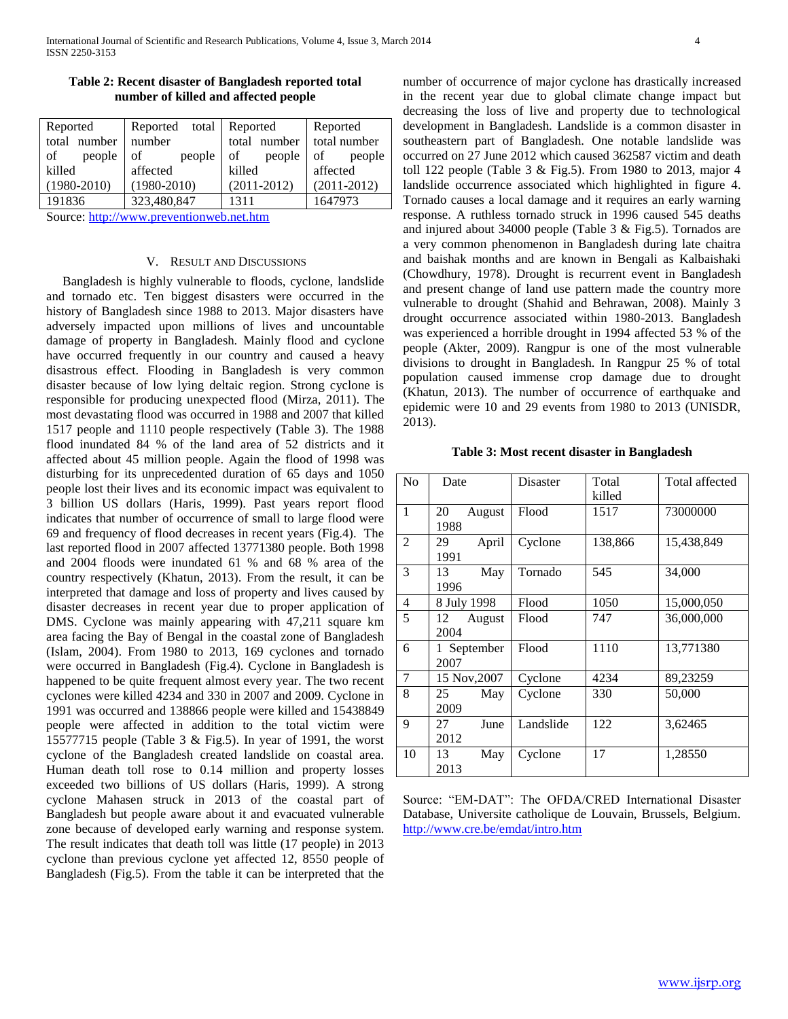| Reported        | Reported total Reported |                      | Reported        |
|-----------------|-------------------------|----------------------|-----------------|
| total number    | number                  | total number         | total number    |
| of<br>people    | of<br>people            | people<br>$\vert$ of | of<br>people    |
| killed          | affected                | killed               | affected        |
| $(1980 - 2010)$ | $(1980 - 2010)$         | $(2011 - 2012)$      | $(2011 - 2012)$ |
| 191836          | 323,480,847             | 1311                 | 1647973         |

**Table 2: Recent disaster of Bangladesh reported total number of killed and affected people**

Source: [http://www.preventionweb.net.htm](http://www.preventionweb.net.htm/)

### V. RESULT AND DISCUSSIONS

 Bangladesh is highly vulnerable to floods, cyclone, landslide and tornado etc. Ten biggest disasters were occurred in the history of Bangladesh since 1988 to 2013. Major disasters have adversely impacted upon millions of lives and uncountable damage of property in Bangladesh. Mainly flood and cyclone have occurred frequently in our country and caused a heavy disastrous effect. Flooding in Bangladesh is very common disaster because of low lying deltaic region. Strong cyclone is responsible for producing unexpected flood (Mirza, 2011). The most devastating flood was occurred in 1988 and 2007 that killed 1517 people and 1110 people respectively (Table 3). The 1988 flood inundated 84 % of the land area of 52 districts and it affected about 45 million people. Again the flood of 1998 was disturbing for its unprecedented duration of 65 days and 1050 people lost their lives and its economic impact was equivalent to 3 billion US dollars (Haris, 1999). Past years report flood indicates that number of occurrence of small to large flood were 69 and frequency of flood decreases in recent years (Fig.4). The last reported flood in 2007 affected 13771380 people. Both 1998 and 2004 floods were inundated 61 % and 68 % area of the country respectively (Khatun, 2013). From the result, it can be interpreted that damage and loss of property and lives caused by disaster decreases in recent year due to proper application of DMS. Cyclone was mainly appearing with 47,211 square km area facing the Bay of Bengal in the coastal zone of Bangladesh (Islam, 2004). From 1980 to 2013, 169 cyclones and tornado were occurred in Bangladesh (Fig.4). Cyclone in Bangladesh is happened to be quite frequent almost every year. The two recent cyclones were killed 4234 and 330 in 2007 and 2009. Cyclone in 1991 was occurred and 138866 people were killed and 15438849 people were affected in addition to the total victim were 15577715 people (Table 3 & Fig.5). In year of 1991, the worst cyclone of the Bangladesh created landslide on coastal area. Human death toll rose to 0.14 million and property losses exceeded two billions of US dollars (Haris, 1999). A strong cyclone Mahasen struck in 2013 of the coastal part of Bangladesh but people aware about it and evacuated vulnerable zone because of developed early warning and response system. The result indicates that death toll was little (17 people) in 2013 cyclone than previous cyclone yet affected 12, 8550 people of Bangladesh (Fig.5). From the table it can be interpreted that the number of occurrence of major cyclone has drastically increased in the recent year due to global climate change impact but decreasing the loss of live and property due to technological development in Bangladesh. Landslide is a common disaster in southeastern part of Bangladesh. One notable landslide was occurred on 27 June 2012 which caused 362587 victim and death toll 122 people (Table 3 & Fig.5). From 1980 to 2013, major 4 landslide occurrence associated which highlighted in figure 4. Tornado causes a local damage and it requires an early warning response. A ruthless tornado struck in 1996 caused 545 deaths and injured about 34000 people (Table 3 & Fig.5). Tornados are a very common phenomenon in Bangladesh during late chaitra and baishak months and are known in Bengali as Kalbaishaki (Chowdhury, 1978). Drought is recurrent event in Bangladesh and present change of land use pattern made the country more vulnerable to drought (Shahid and Behrawan, 2008). Mainly 3 drought occurrence associated within 1980-2013. Bangladesh was experienced a horrible drought in 1994 affected 53 % of the people (Akter, 2009). Rangpur is one of the most vulnerable divisions to drought in Bangladesh. In Rangpur 25 % of total population caused immense crop damage due to drought (Khatun, 2013). The number of occurrence of earthquake and epidemic were 10 and 29 events from 1980 to 2013 (UNISDR, 2013).

| No             | Date                 | Disaster  | Total<br>killed | Total affected |
|----------------|----------------------|-----------|-----------------|----------------|
| 1              | 20<br>August<br>1988 | Flood     | 1517            | 73000000       |
| 2              | 29<br>April<br>1991  | Cyclone   | 138,866         | 15,438,849     |
| 3              | 13<br>May<br>1996    | Tornado   | 545             | 34,000         |
| $\overline{4}$ | 8 July 1998          | Flood     | 1050            | 15,000,050     |
| 5              | 12<br>August<br>2004 | Flood     | 747             | 36,000,000     |
| 6              | 1 September<br>2007  | Flood     | 1110            | 13,771380      |
| 7              | 15 Nov, 2007         | Cyclone   | 4234            | 89,23259       |
| 8              | May<br>25<br>2009    | Cyclone   | 330             | 50,000         |
| 9              | 27<br>June<br>2012   | Landslide | 122             | 3,62465        |
| 10             | 13<br>May<br>2013    | Cyclone   | 17              | 1,28550        |

Source: "EM-DAT": The OFDA/CRED International Disaster Database, Universite catholique de Louvain, Brussels, Belgium. <http://www.cre.be/emdat/intro.htm>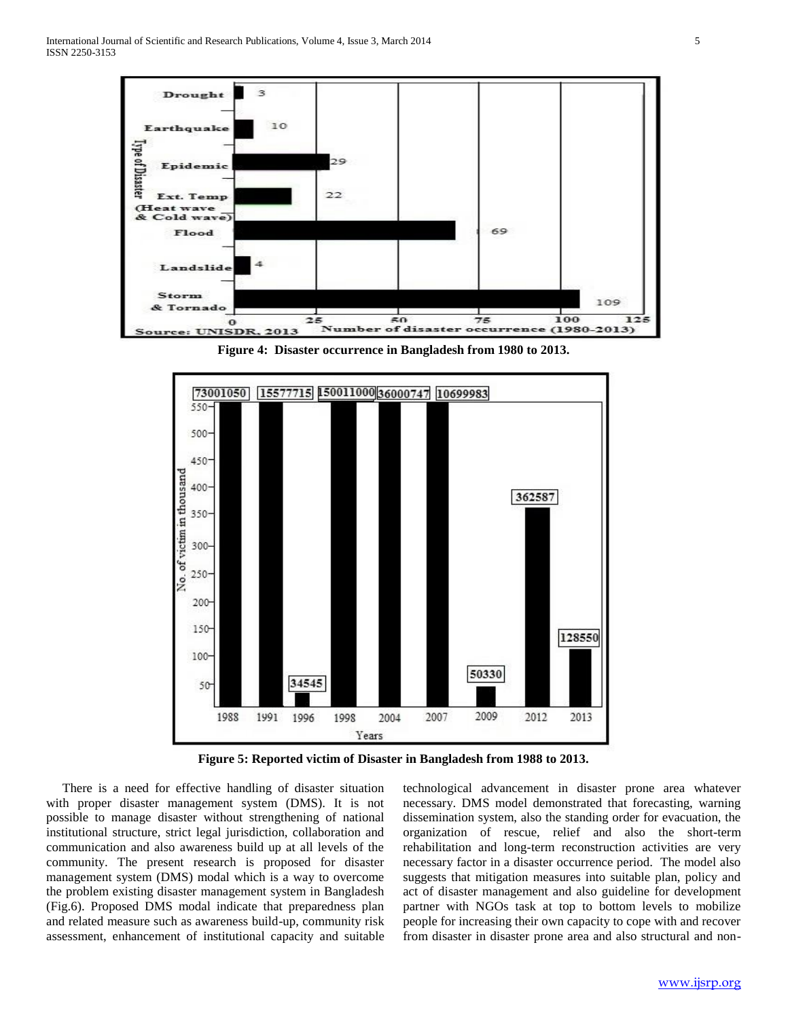

**Figure 4: Disaster occurrence in Bangladesh from 1980 to 2013.**



**Figure 5: Reported victim of Disaster in Bangladesh from 1988 to 2013.**

 There is a need for effective handling of disaster situation with proper disaster management system (DMS). It is not possible to manage disaster without strengthening of national institutional structure, strict legal jurisdiction, collaboration and communication and also awareness build up at all levels of the community. The present research is proposed for disaster management system (DMS) modal which is a way to overcome the problem existing disaster management system in Bangladesh (Fig.6). Proposed DMS modal indicate that preparedness plan and related measure such as awareness build-up, community risk assessment, enhancement of institutional capacity and suitable technological advancement in disaster prone area whatever necessary. DMS model demonstrated that forecasting, warning dissemination system, also the standing order for evacuation, the organization of rescue, relief and also the short-term rehabilitation and long-term reconstruction activities are very necessary factor in a disaster occurrence period. The model also suggests that mitigation measures into suitable plan, policy and act of disaster management and also guideline for development partner with NGOs task at top to bottom levels to mobilize people for increasing their own capacity to cope with and recover from disaster in disaster prone area and also structural and non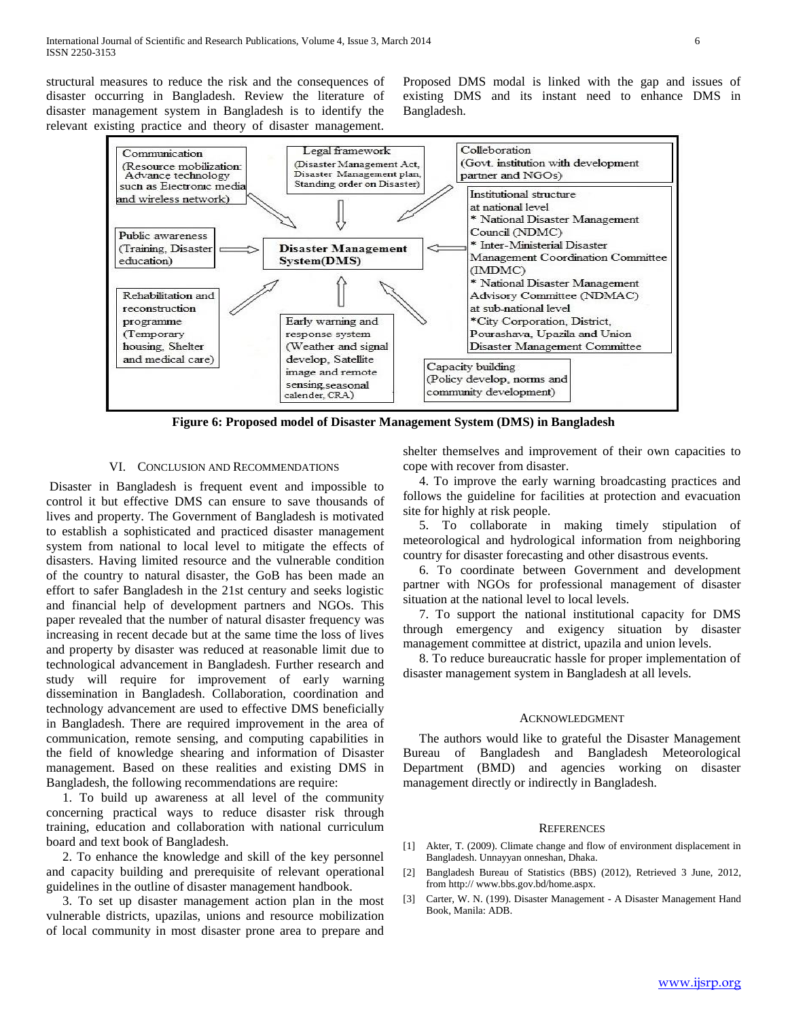structural measures to reduce the risk and the consequences of disaster occurring in Bangladesh. Review the literature of disaster management system in Bangladesh is to identify the relevant existing practice and theory of disaster management.

Proposed DMS modal is linked with the gap and issues of existing DMS and its instant need to enhance DMS in Bangladesh.



**Figure 6: Proposed model of Disaster Management System (DMS) in Bangladesh**

#### VI. CONCLUSION AND RECOMMENDATIONS

Disaster in Bangladesh is frequent event and impossible to control it but effective DMS can ensure to save thousands of lives and property. The Government of Bangladesh is motivated to establish a sophisticated and practiced disaster management system from national to local level to mitigate the effects of disasters. Having limited resource and the vulnerable condition of the country to natural disaster, the GoB has been made an effort to safer Bangladesh in the 21st century and seeks logistic and financial help of development partners and NGOs. This paper revealed that the number of natural disaster frequency was increasing in recent decade but at the same time the loss of lives and property by disaster was reduced at reasonable limit due to technological advancement in Bangladesh. Further research and study will require for improvement of early warning dissemination in Bangladesh. Collaboration, coordination and technology advancement are used to effective DMS beneficially in Bangladesh. There are required improvement in the area of communication, remote sensing, and computing capabilities in the field of knowledge shearing and information of Disaster management. Based on these realities and existing DMS in Bangladesh, the following recommendations are require:

 1. To build up awareness at all level of the community concerning practical ways to reduce disaster risk through training, education and collaboration with national curriculum board and text book of Bangladesh.

 2. To enhance the knowledge and skill of the key personnel and capacity building and prerequisite of relevant operational guidelines in the outline of disaster management handbook.

 3. To set up disaster management action plan in the most vulnerable districts, upazilas, unions and resource mobilization of local community in most disaster prone area to prepare and shelter themselves and improvement of their own capacities to cope with recover from disaster.

 4. To improve the early warning broadcasting practices and follows the guideline for facilities at protection and evacuation site for highly at risk people.

 5. To collaborate in making timely stipulation of meteorological and hydrological information from neighboring country for disaster forecasting and other disastrous events.

 6. To coordinate between Government and development partner with NGOs for professional management of disaster situation at the national level to local levels.

 7. To support the national institutional capacity for DMS through emergency and exigency situation by disaster management committee at district, upazila and union levels.

 8. To reduce bureaucratic hassle for proper implementation of disaster management system in Bangladesh at all levels.

#### ACKNOWLEDGMENT

 The authors would like to grateful the Disaster Management Bureau of Bangladesh and Bangladesh Meteorological Department (BMD) and agencies working on disaster management directly or indirectly in Bangladesh.

#### **REFERENCES**

- [1] Akter, T. (2009). Climate change and flow of environment displacement in Bangladesh. Unnayyan onneshan, Dhaka.
- [2] Bangladesh Bureau of Statistics (BBS) (2012), Retrieved 3 June, 2012, from http:// www.bbs.gov.bd/home.aspx.
- [3] Carter, W. N. (199). Disaster Management A Disaster Management Hand Book, Manila: ADB.